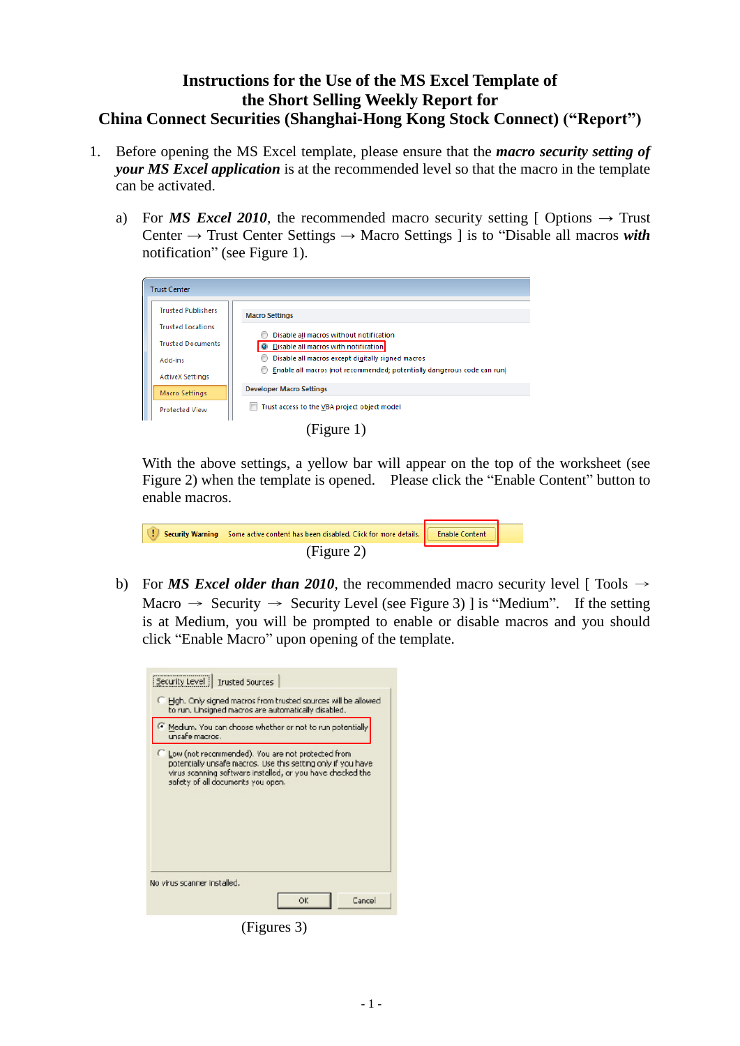## **Instructions for the Use of the MS Excel Template of the Short Selling Weekly Report for China Connect Securities (Shanghai-Hong Kong Stock Connect) ("Report")**

- 1. Before opening the MS Excel template, please ensure that the *macro security setting of your MS Excel application* is at the recommended level so that the macro in the template can be activated.
	- a) For *MS Excel 2010*, the recommended macro security setting [ Options  $\rightarrow$  Trust Center → Trust Center Settings → Macro Settings ] is to "Disable all macros *with* notification" (see Figure 1).

|  | <b>Trust Center</b>       |                                                                         |
|--|---------------------------|-------------------------------------------------------------------------|
|  | <b>Trusted Publishers</b> | <b>Macro Settings</b>                                                   |
|  | <b>Trusted Locations</b>  | Disable all macros without notification                                 |
|  | <b>Trusted Documents</b>  | O Disable all macros with notification                                  |
|  | Add-ins                   | Disable all macros except digitally signed macros                       |
|  | <b>ActiveX Settings</b>   | Enable all macros (not recommended; potentially dangerous code can run) |
|  | Macro Settings            | <b>Developer Macro Settings</b>                                         |
|  | <b>Protected View</b>     | Trust access to the VBA project object model                            |
|  |                           |                                                                         |

(Figure 1)

With the above settings, a yellow bar will appear on the top of the worksheet (see Figure 2) when the template is opened. Please click the "Enable Content" button to enable macros.

| Security Warning Some active content has been disabled. Click for more details.   Enable Content |  |
|--------------------------------------------------------------------------------------------------|--|
| (Figure 2)                                                                                       |  |

b) For *MS Excel older than 2010*, the recommended macro security level [ Tools  $\rightarrow$ Macro  $\rightarrow$  Security  $\rightarrow$  Security Level (see Figure 3) ] is "Medium". If the setting is at Medium, you will be prompted to enable or disable macros and you should click "Enable Macro" upon opening of the template.

| Security Level   Trusted Sources                                                                                                                                                                                       |  |  |
|------------------------------------------------------------------------------------------------------------------------------------------------------------------------------------------------------------------------|--|--|
| Figh. Only signed macros from trusted sources will be allowed<br>to run. Unsigned macros are automatically disabled.                                                                                                   |  |  |
| Medium. You can choose whether or not to run potentially<br>unsafe macros .                                                                                                                                            |  |  |
| C Low (not recommended). You are not protected from<br>potentially unsafe macros. Use this setting only if you have<br>virus scanning software installed, or you have checked the<br>safety of all documents you open. |  |  |
| No virus scanner installed.                                                                                                                                                                                            |  |  |
| ОK<br>Cancel                                                                                                                                                                                                           |  |  |

(Figures 3)